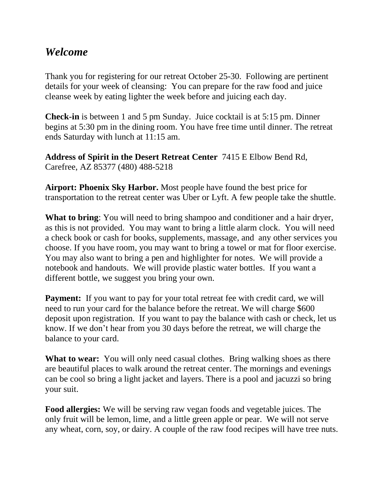## *Welcome*

Thank you for registering for our retreat October 25-30. Following are pertinent details for your week of cleansing: You can prepare for the raw food and juice cleanse week by eating lighter the week before and juicing each day.

**Check-in** is between 1 and 5 pm Sunday. Juice cocktail is at 5:15 pm. Dinner begins at 5:30 pm in the dining room. You have free time until dinner. The retreat ends Saturday with lunch at 11:15 am.

**Address of Spirit in the Desert Retreat Center** 7415 E Elbow Bend Rd, Carefree, AZ 85377 (480) 488-5218

**Airport: Phoenix Sky Harbor.** Most people have found the best price for transportation to the retreat center was Uber or Lyft. A few people take the shuttle.

**What to bring**: You will need to bring shampoo and conditioner and a hair dryer, as this is not provided. You may want to bring a little alarm clock. You will need a check book or cash for books, supplements, massage, and any other services you choose. If you have room, you may want to bring a towel or mat for floor exercise. You may also want to bring a pen and highlighter for notes. We will provide a notebook and handouts. We will provide plastic water bottles. If you want a different bottle, we suggest you bring your own.

**Payment:** If you want to pay for your total retreat fee with credit card, we will need to run your card for the balance before the retreat. We will charge \$600 deposit upon registration. If you want to pay the balance with cash or check, let us know. If we don't hear from you 30 days before the retreat, we will charge the balance to your card.

**What to wear:** You will only need casual clothes. Bring walking shoes as there are beautiful places to walk around the retreat center. The mornings and evenings can be cool so bring a light jacket and layers. There is a pool and jacuzzi so bring your suit.

**Food allergies:** We will be serving raw vegan foods and vegetable juices. The only fruit will be lemon, lime, and a little green apple or pear. We will not serve any wheat, corn, soy, or dairy. A couple of the raw food recipes will have tree nuts.